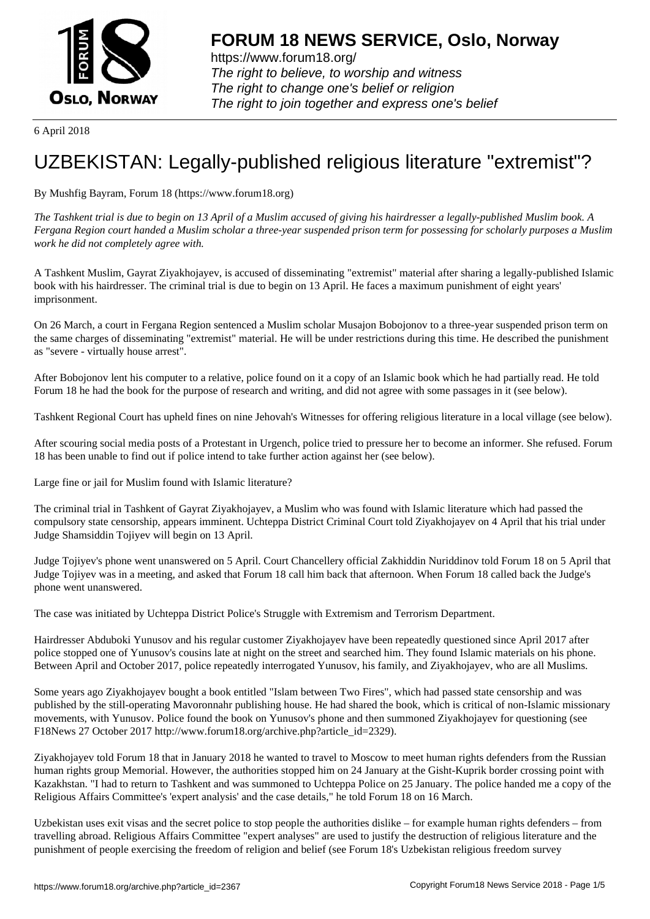

https://www.forum18.org/ The right to believe, to worship and witness The right to change one's belief or religion [The right to join together a](https://www.forum18.org/)nd express one's belief

6 April 2018

## [UZBEKISTAN:](https://www.forum18.org) Legally-published religious literature "extremist"?

## By Mushfig Bayram, Forum 18 (https://www.forum18.org)

*The Tashkent trial is due to begin on 13 April of a Muslim accused of giving his hairdresser a legally-published Muslim book. A Fergana Region court handed a Muslim scholar a three-year suspended prison term for possessing for scholarly purposes a Muslim work he did not completely agree with.*

A Tashkent Muslim, Gayrat Ziyakhojayev, is accused of disseminating "extremist" material after sharing a legally-published Islamic book with his hairdresser. The criminal trial is due to begin on 13 April. He faces a maximum punishment of eight years' imprisonment.

On 26 March, a court in Fergana Region sentenced a Muslim scholar Musajon Bobojonov to a three-year suspended prison term on the same charges of disseminating "extremist" material. He will be under restrictions during this time. He described the punishment as "severe - virtually house arrest".

After Bobojonov lent his computer to a relative, police found on it a copy of an Islamic book which he had partially read. He told Forum 18 he had the book for the purpose of research and writing, and did not agree with some passages in it (see below).

Tashkent Regional Court has upheld fines on nine Jehovah's Witnesses for offering religious literature in a local village (see below).

After scouring social media posts of a Protestant in Urgench, police tried to pressure her to become an informer. She refused. Forum 18 has been unable to find out if police intend to take further action against her (see below).

Large fine or jail for Muslim found with Islamic literature?

The criminal trial in Tashkent of Gayrat Ziyakhojayev, a Muslim who was found with Islamic literature which had passed the compulsory state censorship, appears imminent. Uchteppa District Criminal Court told Ziyakhojayev on 4 April that his trial under Judge Shamsiddin Tojiyev will begin on 13 April.

Judge Tojiyev's phone went unanswered on 5 April. Court Chancellery official Zakhiddin Nuriddinov told Forum 18 on 5 April that Judge Tojiyev was in a meeting, and asked that Forum 18 call him back that afternoon. When Forum 18 called back the Judge's phone went unanswered.

The case was initiated by Uchteppa District Police's Struggle with Extremism and Terrorism Department.

Hairdresser Abduboki Yunusov and his regular customer Ziyakhojayev have been repeatedly questioned since April 2017 after police stopped one of Yunusov's cousins late at night on the street and searched him. They found Islamic materials on his phone. Between April and October 2017, police repeatedly interrogated Yunusov, his family, and Ziyakhojayev, who are all Muslims.

Some years ago Ziyakhojayev bought a book entitled "Islam between Two Fires", which had passed state censorship and was published by the still-operating Mavoronnahr publishing house. He had shared the book, which is critical of non-Islamic missionary movements, with Yunusov. Police found the book on Yunusov's phone and then summoned Ziyakhojayev for questioning (see F18News 27 October 2017 http://www.forum18.org/archive.php?article\_id=2329).

Ziyakhojayev told Forum 18 that in January 2018 he wanted to travel to Moscow to meet human rights defenders from the Russian human rights group Memorial. However, the authorities stopped him on 24 January at the Gisht-Kuprik border crossing point with Kazakhstan. "I had to return to Tashkent and was summoned to Uchteppa Police on 25 January. The police handed me a copy of the Religious Affairs Committee's 'expert analysis' and the case details," he told Forum 18 on 16 March.

Uzbekistan uses exit visas and the secret police to stop people the authorities dislike – for example human rights defenders – from travelling abroad. Religious Affairs Committee "expert analyses" are used to justify the destruction of religious literature and the punishment of people exercising the freedom of religion and belief (see Forum 18's Uzbekistan religious freedom survey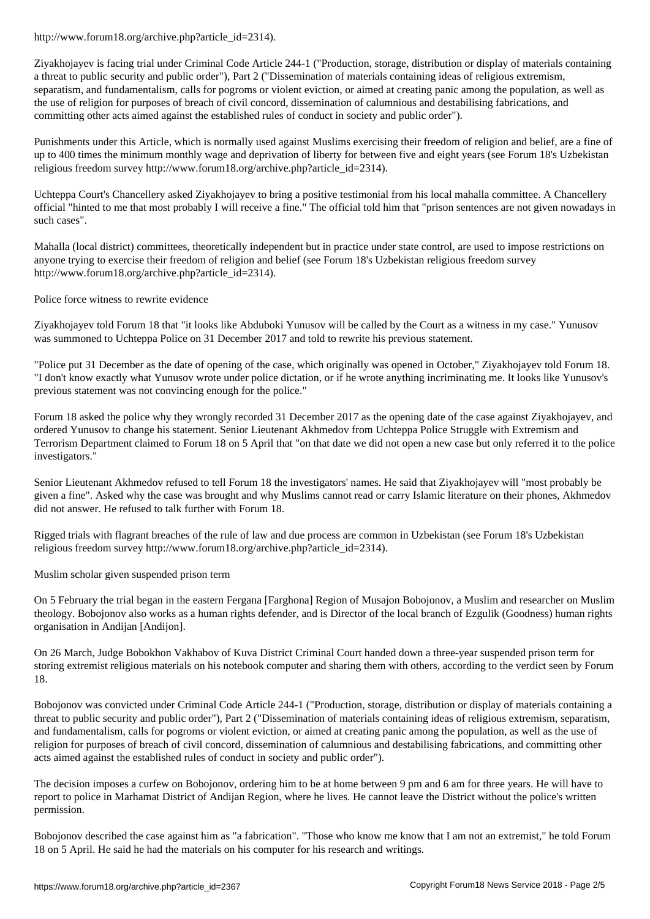Ziyakhojayev is facing trial under Criminal Code Article 244-1 ("Production, storage, distribution or display of materials containing a threat to public security and public order"), Part 2 ("Dissemination of materials containing ideas of religious extremism, separatism, and fundamentalism, calls for pogroms or violent eviction, or aimed at creating panic among the population, as well as the use of religion for purposes of breach of civil concord, dissemination of calumnious and destabilising fabrications, and committing other acts aimed against the established rules of conduct in society and public order").

Punishments under this Article, which is normally used against Muslims exercising their freedom of religion and belief, are a fine of up to 400 times the minimum monthly wage and deprivation of liberty for between five and eight years (see Forum 18's Uzbekistan religious freedom survey http://www.forum18.org/archive.php?article\_id=2314).

Uchteppa Court's Chancellery asked Ziyakhojayev to bring a positive testimonial from his local mahalla committee. A Chancellery official "hinted to me that most probably I will receive a fine." The official told him that "prison sentences are not given nowadays in such cases".

Mahalla (local district) committees, theoretically independent but in practice under state control, are used to impose restrictions on anyone trying to exercise their freedom of religion and belief (see Forum 18's Uzbekistan religious freedom survey http://www.forum18.org/archive.php?article\_id=2314).

Police force witness to rewrite evidence

Ziyakhojayev told Forum 18 that "it looks like Abduboki Yunusov will be called by the Court as a witness in my case." Yunusov was summoned to Uchteppa Police on 31 December 2017 and told to rewrite his previous statement.

"Police put 31 December as the date of opening of the case, which originally was opened in October," Ziyakhojayev told Forum 18. "I don't know exactly what Yunusov wrote under police dictation, or if he wrote anything incriminating me. It looks like Yunusov's previous statement was not convincing enough for the police."

Forum 18 asked the police why they wrongly recorded 31 December 2017 as the opening date of the case against Ziyakhojayev, and ordered Yunusov to change his statement. Senior Lieutenant Akhmedov from Uchteppa Police Struggle with Extremism and Terrorism Department claimed to Forum 18 on 5 April that "on that date we did not open a new case but only referred it to the police investigators."

Senior Lieutenant Akhmedov refused to tell Forum 18 the investigators' names. He said that Ziyakhojayev will "most probably be given a fine". Asked why the case was brought and why Muslims cannot read or carry Islamic literature on their phones, Akhmedov did not answer. He refused to talk further with Forum 18.

Rigged trials with flagrant breaches of the rule of law and due process are common in Uzbekistan (see Forum 18's Uzbekistan religious freedom survey http://www.forum18.org/archive.php?article\_id=2314).

Muslim scholar given suspended prison term

On 5 February the trial began in the eastern Fergana [Farghona] Region of Musajon Bobojonov, a Muslim and researcher on Muslim theology. Bobojonov also works as a human rights defender, and is Director of the local branch of Ezgulik (Goodness) human rights organisation in Andijan [Andijon].

On 26 March, Judge Bobokhon Vakhabov of Kuva District Criminal Court handed down a three-year suspended prison term for storing extremist religious materials on his notebook computer and sharing them with others, according to the verdict seen by Forum 18.

Bobojonov was convicted under Criminal Code Article 244-1 ("Production, storage, distribution or display of materials containing a threat to public security and public order"), Part 2 ("Dissemination of materials containing ideas of religious extremism, separatism, and fundamentalism, calls for pogroms or violent eviction, or aimed at creating panic among the population, as well as the use of religion for purposes of breach of civil concord, dissemination of calumnious and destabilising fabrications, and committing other acts aimed against the established rules of conduct in society and public order").

The decision imposes a curfew on Bobojonov, ordering him to be at home between 9 pm and 6 am for three years. He will have to report to police in Marhamat District of Andijan Region, where he lives. He cannot leave the District without the police's written permission.

Bobojonov described the case against him as "a fabrication". "Those who know me know that I am not an extremist," he told Forum 18 on 5 April. He said he had the materials on his computer for his research and writings.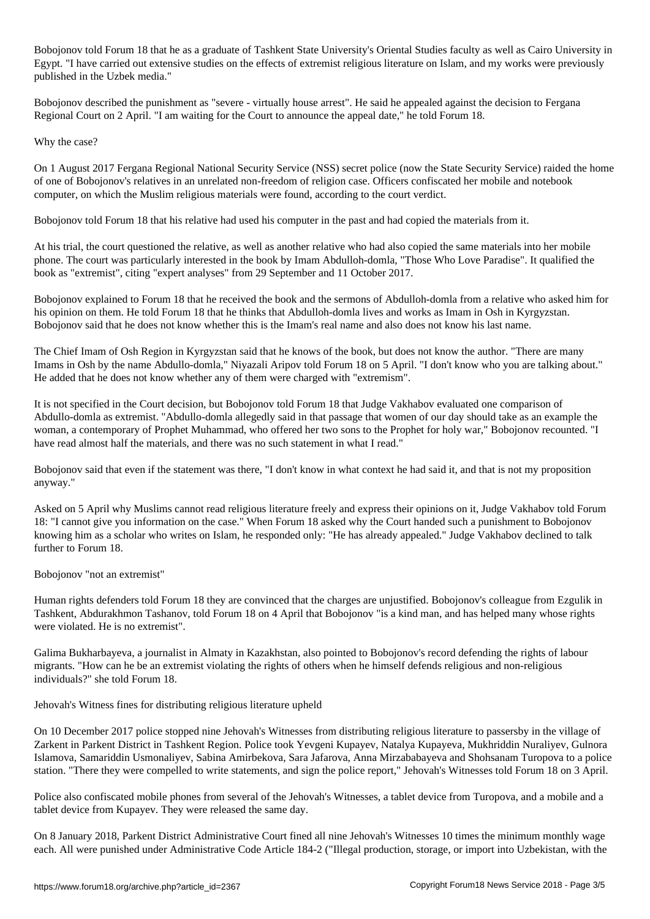Bobojonov told Forum 18 that he as a graduate of Tashkent State University's Oriental Studies faculty as well as Cairo University in Egypt. "I have carried out extensive studies on the effects of extremist religious literature on Islam, and my works were previously published in the Uzbek media."

Bobojonov described the punishment as "severe - virtually house arrest". He said he appealed against the decision to Fergana Regional Court on 2 April. "I am waiting for the Court to announce the appeal date," he told Forum 18.

Why the case?

On 1 August 2017 Fergana Regional National Security Service (NSS) secret police (now the State Security Service) raided the home of one of Bobojonov's relatives in an unrelated non-freedom of religion case. Officers confiscated her mobile and notebook computer, on which the Muslim religious materials were found, according to the court verdict.

Bobojonov told Forum 18 that his relative had used his computer in the past and had copied the materials from it.

At his trial, the court questioned the relative, as well as another relative who had also copied the same materials into her mobile phone. The court was particularly interested in the book by Imam Abdulloh-domla, "Those Who Love Paradise". It qualified the book as "extremist", citing "expert analyses" from 29 September and 11 October 2017.

Bobojonov explained to Forum 18 that he received the book and the sermons of Abdulloh-domla from a relative who asked him for his opinion on them. He told Forum 18 that he thinks that Abdulloh-domla lives and works as Imam in Osh in Kyrgyzstan. Bobojonov said that he does not know whether this is the Imam's real name and also does not know his last name.

The Chief Imam of Osh Region in Kyrgyzstan said that he knows of the book, but does not know the author. "There are many Imams in Osh by the name Abdullo-domla," Niyazali Aripov told Forum 18 on 5 April. "I don't know who you are talking about." He added that he does not know whether any of them were charged with "extremism".

It is not specified in the Court decision, but Bobojonov told Forum 18 that Judge Vakhabov evaluated one comparison of Abdullo-domla as extremist. "Abdullo-domla allegedly said in that passage that women of our day should take as an example the woman, a contemporary of Prophet Muhammad, who offered her two sons to the Prophet for holy war," Bobojonov recounted. "I have read almost half the materials, and there was no such statement in what I read."

Bobojonov said that even if the statement was there, "I don't know in what context he had said it, and that is not my proposition anyway."

Asked on 5 April why Muslims cannot read religious literature freely and express their opinions on it, Judge Vakhabov told Forum 18: "I cannot give you information on the case." When Forum 18 asked why the Court handed such a punishment to Bobojonov knowing him as a scholar who writes on Islam, he responded only: "He has already appealed." Judge Vakhabov declined to talk further to Forum 18.

Bobojonov "not an extremist"

Human rights defenders told Forum 18 they are convinced that the charges are unjustified. Bobojonov's colleague from Ezgulik in Tashkent, Abdurakhmon Tashanov, told Forum 18 on 4 April that Bobojonov "is a kind man, and has helped many whose rights were violated. He is no extremist".

Galima Bukharbayeva, a journalist in Almaty in Kazakhstan, also pointed to Bobojonov's record defending the rights of labour migrants. "How can he be an extremist violating the rights of others when he himself defends religious and non-religious individuals?" she told Forum 18.

Jehovah's Witness fines for distributing religious literature upheld

On 10 December 2017 police stopped nine Jehovah's Witnesses from distributing religious literature to passersby in the village of Zarkent in Parkent District in Tashkent Region. Police took Yevgeni Kupayev, Natalya Kupayeva, Mukhriddin Nuraliyev, Gulnora Islamova, Samariddin Usmonaliyev, Sabina Amirbekova, Sara Jafarova, Anna Mirzababayeva and Shohsanam Turopova to a police station. "There they were compelled to write statements, and sign the police report," Jehovah's Witnesses told Forum 18 on 3 April.

Police also confiscated mobile phones from several of the Jehovah's Witnesses, a tablet device from Turopova, and a mobile and a tablet device from Kupayev. They were released the same day.

On 8 January 2018, Parkent District Administrative Court fined all nine Jehovah's Witnesses 10 times the minimum monthly wage each. All were punished under Administrative Code Article 184-2 ("Illegal production, storage, or import into Uzbekistan, with the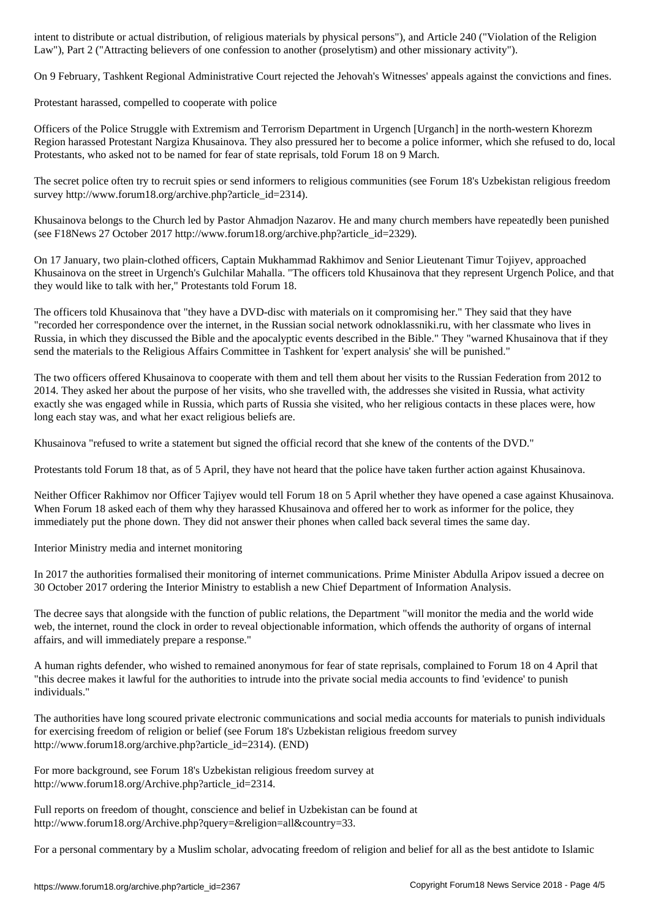Law"), Part 2 ("Attracting believers of one confession to another (proselytism) and other missionary activity").

On 9 February, Tashkent Regional Administrative Court rejected the Jehovah's Witnesses' appeals against the convictions and fines.

Protestant harassed, compelled to cooperate with police

Officers of the Police Struggle with Extremism and Terrorism Department in Urgench [Urganch] in the north-western Khorezm Region harassed Protestant Nargiza Khusainova. They also pressured her to become a police informer, which she refused to do, local Protestants, who asked not to be named for fear of state reprisals, told Forum 18 on 9 March.

The secret police often try to recruit spies or send informers to religious communities (see Forum 18's Uzbekistan religious freedom survey http://www.forum18.org/archive.php?article\_id=2314).

Khusainova belongs to the Church led by Pastor Ahmadjon Nazarov. He and many church members have repeatedly been punished (see F18News 27 October 2017 http://www.forum18.org/archive.php?article\_id=2329).

On 17 January, two plain-clothed officers, Captain Mukhammad Rakhimov and Senior Lieutenant Timur Tojiyev, approached Khusainova on the street in Urgench's Gulchilar Mahalla. "The officers told Khusainova that they represent Urgench Police, and that they would like to talk with her," Protestants told Forum 18.

The officers told Khusainova that "they have a DVD-disc with materials on it compromising her." They said that they have "recorded her correspondence over the internet, in the Russian social network odnoklassniki.ru, with her classmate who lives in Russia, in which they discussed the Bible and the apocalyptic events described in the Bible." They "warned Khusainova that if they send the materials to the Religious Affairs Committee in Tashkent for 'expert analysis' she will be punished."

The two officers offered Khusainova to cooperate with them and tell them about her visits to the Russian Federation from 2012 to 2014. They asked her about the purpose of her visits, who she travelled with, the addresses she visited in Russia, what activity exactly she was engaged while in Russia, which parts of Russia she visited, who her religious contacts in these places were, how long each stay was, and what her exact religious beliefs are.

Khusainova "refused to write a statement but signed the official record that she knew of the contents of the DVD."

Protestants told Forum 18 that, as of 5 April, they have not heard that the police have taken further action against Khusainova.

Neither Officer Rakhimov nor Officer Tajiyev would tell Forum 18 on 5 April whether they have opened a case against Khusainova. When Forum 18 asked each of them why they harassed Khusainova and offered her to work as informer for the police, they immediately put the phone down. They did not answer their phones when called back several times the same day.

Interior Ministry media and internet monitoring

In 2017 the authorities formalised their monitoring of internet communications. Prime Minister Abdulla Aripov issued a decree on 30 October 2017 ordering the Interior Ministry to establish a new Chief Department of Information Analysis.

The decree says that alongside with the function of public relations, the Department "will monitor the media and the world wide web, the internet, round the clock in order to reveal objectionable information, which offends the authority of organs of internal affairs, and will immediately prepare a response."

A human rights defender, who wished to remained anonymous for fear of state reprisals, complained to Forum 18 on 4 April that "this decree makes it lawful for the authorities to intrude into the private social media accounts to find 'evidence' to punish individuals."

The authorities have long scoured private electronic communications and social media accounts for materials to punish individuals for exercising freedom of religion or belief (see Forum 18's Uzbekistan religious freedom survey http://www.forum18.org/archive.php?article\_id=2314). (END)

For more background, see Forum 18's Uzbekistan religious freedom survey at http://www.forum18.org/Archive.php?article\_id=2314.

Full reports on freedom of thought, conscience and belief in Uzbekistan can be found at http://www.forum18.org/Archive.php?query=&religion=all&country=33.

For a personal commentary by a Muslim scholar, advocating freedom of religion and belief for all as the best antidote to Islamic